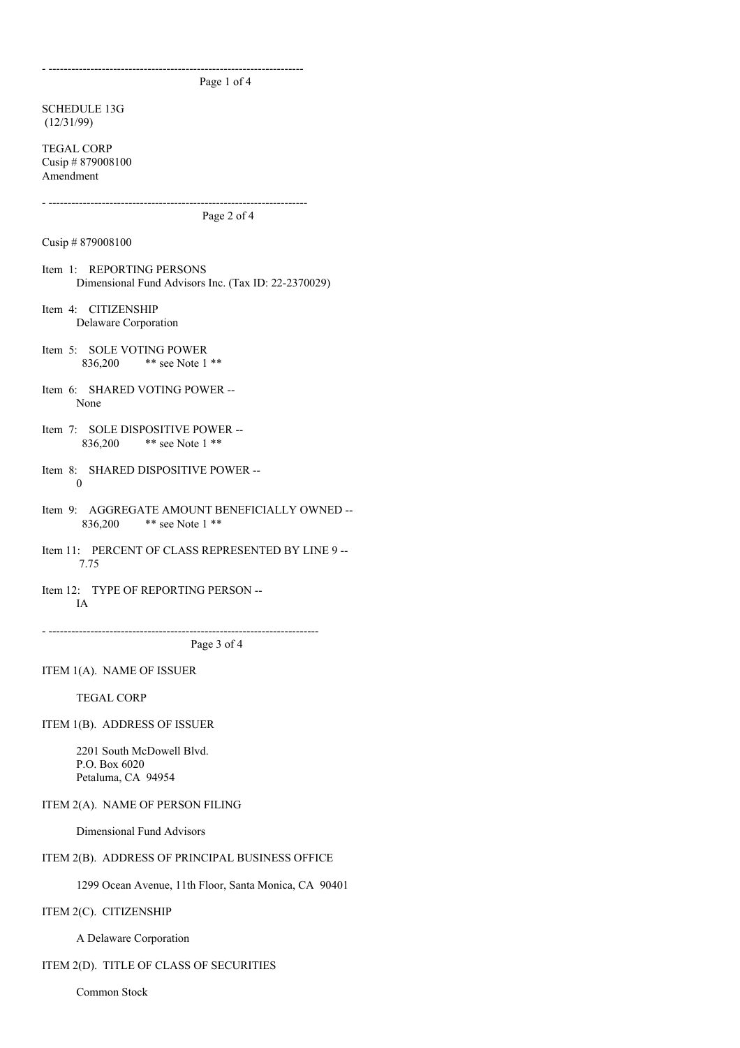- ------------------------------------------------------------------- Page 1 of 4

SCHEDULE 13G (12/31/99)

TEGAL CORP Cusip # 879008100 Amendment

Page 2 of 4

- --------------------------------------------------------------------

Cusip # 879008100

Item 1: REPORTING PERSONS Dimensional Fund Advisors Inc. (Tax ID: 22-2370029)

Item 4: CITIZENSHIP Delaware Corporation

- Item 5: SOLE VOTING POWER 836,200 \*\* see Note 1 \*\*
- Item 6: SHARED VOTING POWER -- None
- Item 7: SOLE DISPOSITIVE POWER -- 836,200 \*\* see Note 1 \*\*
- Item 8: SHARED DISPOSITIVE POWER -- 0
- Item 9: AGGREGATE AMOUNT BENEFICIALLY OWNED -- 836,200 \*\* see Note 1 \*\*
- Item 11: PERCENT OF CLASS REPRESENTED BY LINE 9 --7.75
- Item 12: TYPE OF REPORTING PERSON -- IA

Page 3 of 4

- -----------------------------------------------------------------------

ITEM 1(A). NAME OF ISSUER

TEGAL CORP

ITEM 1(B). ADDRESS OF ISSUER

2201 South McDowell Blvd. P.O. Box 6020 Petaluma, CA 94954

ITEM 2(A). NAME OF PERSON FILING

Dimensional Fund Advisors

# ITEM 2(B). ADDRESS OF PRINCIPAL BUSINESS OFFICE

1299 Ocean Avenue, 11th Floor, Santa Monica, CA 90401

# ITEM 2(C). CITIZENSHIP

A Delaware Corporation

# ITEM 2(D). TITLE OF CLASS OF SECURITIES

Common Stock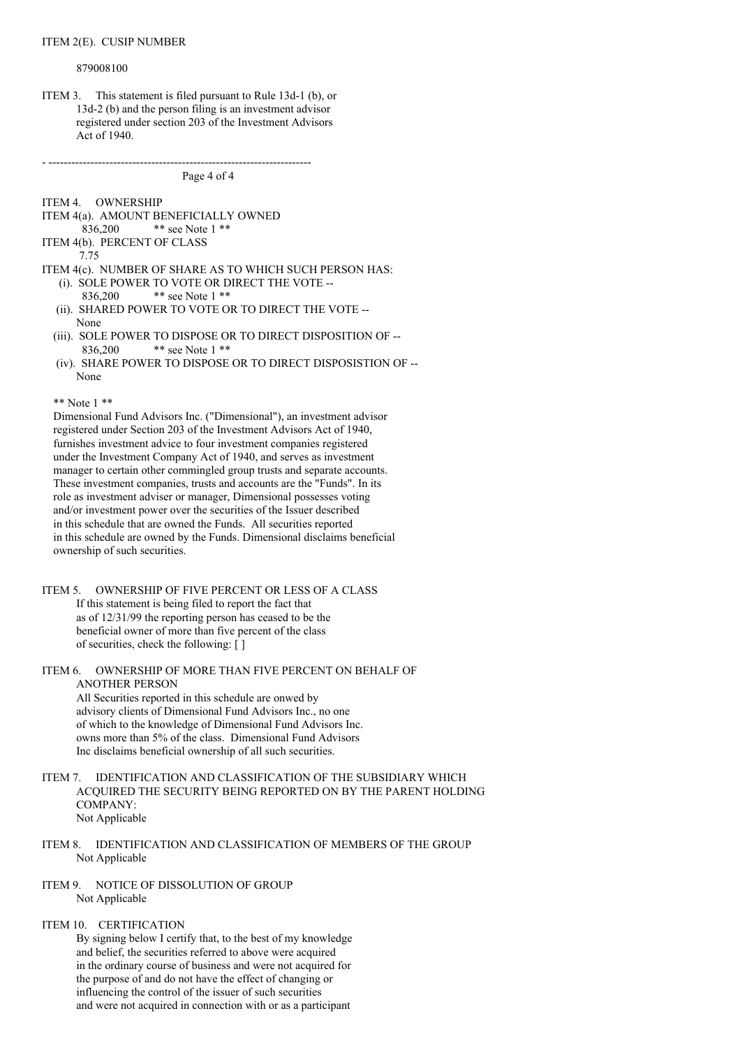#### ITEM 2(E). CUSIP NUMBER

#### 879008100

ITEM 3. This statement is filed pursuant to Rule 13d-1 (b), or 13d-2 (b) and the person filing is an investment advisor registered under section 203 of the Investment Advisors Act of 1940.

- ---------------------------------------------------------------------

```
Page 4 of 4
```
ITEM 4. OWNERSHIP

- ITEM 4(a). AMOUNT BENEFICIALLY OWNED
- 836,200 \*\* see Note 1 \*\*
- ITEM 4(b). PERCENT OF CLASS
	- 7.75
- ITEM 4(c). NUMBER OF SHARE AS TO WHICH SUCH PERSON HAS: (i). SOLE POWER TO VOTE OR DIRECT THE VOTE --
	- 836,200 \*\* see Note 1 \*\*
	- (ii). SHARED POWER TO VOTE OR TO DIRECT THE VOTE -- None
	- (iii). SOLE POWER TO DISPOSE OR TO DIRECT DISPOSITION OF -- 836,200 \*\* see Note 1 \*\*
	- (iv). SHARE POWER TO DISPOSE OR TO DIRECT DISPOSISTION OF -- None

\*\* Note 1 \*\*

Dimensional Fund Advisors Inc. ("Dimensional"), an investment advisor registered under Section 203 of the Investment Advisors Act of 1940, furnishes investment advice to four investment companies registered under the Investment Company Act of 1940, and serves as investment manager to certain other commingled group trusts and separate accounts. These investment companies, trusts and accounts are the "Funds". In its role as investment adviser or manager, Dimensional possesses voting and/or investment power over the securities of the Issuer described in this schedule that are owned the Funds. All securities reported in this schedule are owned by the Funds. Dimensional disclaims beneficial ownership of such securities.

# ITEM 5. OWNERSHIP OF FIVE PERCENT OR LESS OF A CLASS If this statement is being filed to report the fact that as of 12/31/99 the reporting person has ceased to be the beneficial owner of more than five percent of the class of securities, check the following: [ ]

ITEM 6. OWNERSHIP OF MORE THAN FIVE PERCENT ON BEHALF OF ANOTHER PERSON All Securities reported in this schedule are onwed by

advisory clients of Dimensional Fund Advisors Inc., no one of which to the knowledge of Dimensional Fund Advisors Inc. owns more than 5% of the class. Dimensional Fund Advisors Inc disclaims beneficial ownership of all such securities.

- ITEM 7. IDENTIFICATION AND CLASSIFICATION OF THE SUBSIDIARY WHICH ACQUIRED THE SECURITY BEING REPORTED ON BY THE PARENT HOLDING COMPANY: Not Applicable
- ITEM 8. IDENTIFICATION AND CLASSIFICATION OF MEMBERS OF THE GROUP Not Applicable
- ITEM 9. NOTICE OF DISSOLUTION OF GROUP Not Applicable

### ITEM 10. CERTIFICATION

By signing below I certify that, to the best of my knowledge and belief, the securities referred to above were acquired in the ordinary course of business and were not acquired for the purpose of and do not have the effect of changing or influencing the control of the issuer of such securities and were not acquired in connection with or as a participant